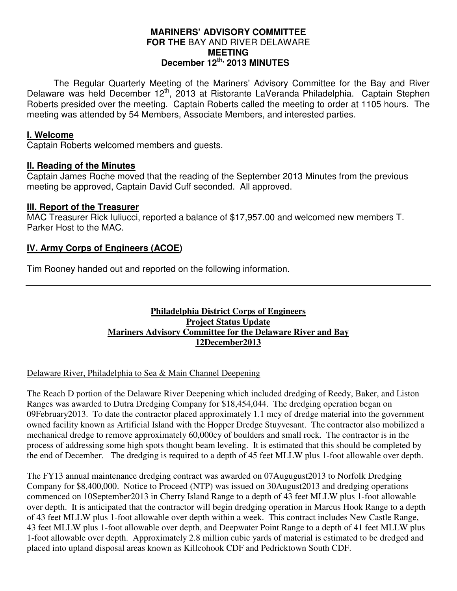### **MARINERS' ADVISORY COMMITTEE FOR THE** BAY AND RIVER DELAWARE **MEETING December 12th, 2013 MINUTES**

 The Regular Quarterly Meeting of the Mariners' Advisory Committee for the Bay and River Delaware was held December 12<sup>th</sup>, 2013 at Ristorante LaVeranda Philadelphia. Captain Stephen Roberts presided over the meeting. Captain Roberts called the meeting to order at 1105 hours. The meeting was attended by 54 Members, Associate Members, and interested parties.

## **I. Welcome**

Captain Roberts welcomed members and guests.

### **II. Reading of the Minutes**

Captain James Roche moved that the reading of the September 2013 Minutes from the previous meeting be approved, Captain David Cuff seconded. All approved.

### **III. Report of the Treasurer**

MAC Treasurer Rick Iuliucci, reported a balance of \$17,957.00 and welcomed new members T. Parker Host to the MAC.

## **IV. Army Corps of Engineers (ACOE)**

Tim Rooney handed out and reported on the following information.

### **Philadelphia District Corps of Engineers Project Status Update Mariners Advisory Committee for the Delaware River and Bay 12December2013**

#### Delaware River, Philadelphia to Sea & Main Channel Deepening

The Reach D portion of the Delaware River Deepening which included dredging of Reedy, Baker, and Liston Ranges was awarded to Dutra Dredging Company for \$18,454,044. The dredging operation began on 09February2013. To date the contractor placed approximately 1.1 mcy of dredge material into the government owned facility known as Artificial Island with the Hopper Dredge Stuyvesant. The contractor also mobilized a mechanical dredge to remove approximately 60,000cy of boulders and small rock. The contractor is in the process of addressing some high spots thought beam leveling. It is estimated that this should be completed by the end of December. The dredging is required to a depth of 45 feet MLLW plus 1-foot allowable over depth.

The FY13 annual maintenance dredging contract was awarded on 07Augugust2013 to Norfolk Dredging Company for \$8,400,000. Notice to Proceed (NTP) was issued on 30August2013 and dredging operations commenced on 10September2013 in Cherry Island Range to a depth of 43 feet MLLW plus 1-foot allowable over depth. It is anticipated that the contractor will begin dredging operation in Marcus Hook Range to a depth of 43 feet MLLW plus 1-foot allowable over depth within a week. This contract includes New Castle Range, 43 feet MLLW plus 1-foot allowable over depth, and Deepwater Point Range to a depth of 41 feet MLLW plus 1-foot allowable over depth. Approximately 2.8 million cubic yards of material is estimated to be dredged and placed into upland disposal areas known as Killcohook CDF and Pedricktown South CDF.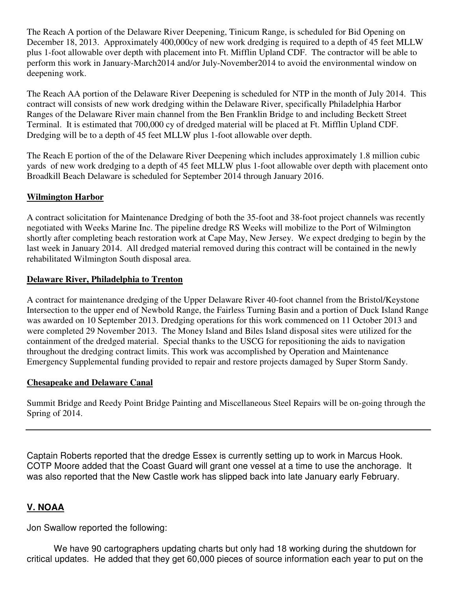The Reach A portion of the Delaware River Deepening, Tinicum Range, is scheduled for Bid Opening on December 18, 2013. Approximately 400,000cy of new work dredging is required to a depth of 45 feet MLLW plus 1-foot allowable over depth with placement into Ft. Mifflin Upland CDF. The contractor will be able to perform this work in January-March2014 and/or July-November2014 to avoid the environmental window on deepening work.

The Reach AA portion of the Delaware River Deepening is scheduled for NTP in the month of July 2014. This contract will consists of new work dredging within the Delaware River, specifically Philadelphia Harbor Ranges of the Delaware River main channel from the Ben Franklin Bridge to and including Beckett Street Terminal. It is estimated that 700,000 cy of dredged material will be placed at Ft. Mifflin Upland CDF. Dredging will be to a depth of 45 feet MLLW plus 1-foot allowable over depth.

The Reach E portion of the of the Delaware River Deepening which includes approximately 1.8 million cubic yards of new work dredging to a depth of 45 feet MLLW plus 1-foot allowable over depth with placement onto Broadkill Beach Delaware is scheduled for September 2014 through January 2016.

## **Wilmington Harbor**

A contract solicitation for Maintenance Dredging of both the 35-foot and 38-foot project channels was recently negotiated with Weeks Marine Inc. The pipeline dredge RS Weeks will mobilize to the Port of Wilmington shortly after completing beach restoration work at Cape May, New Jersey. We expect dredging to begin by the last week in January 2014. All dredged material removed during this contract will be contained in the newly rehabilitated Wilmington South disposal area.

### **Delaware River, Philadelphia to Trenton**

A contract for maintenance dredging of the Upper Delaware River 40-foot channel from the Bristol/Keystone Intersection to the upper end of Newbold Range, the Fairless Turning Basin and a portion of Duck Island Range was awarded on 10 September 2013. Dredging operations for this work commenced on 11 October 2013 and were completed 29 November 2013. The Money Island and Biles Island disposal sites were utilized for the containment of the dredged material. Special thanks to the USCG for repositioning the aids to navigation throughout the dredging contract limits. This work was accomplished by Operation and Maintenance Emergency Supplemental funding provided to repair and restore projects damaged by Super Storm Sandy.

### **Chesapeake and Delaware Canal**

Summit Bridge and Reedy Point Bridge Painting and Miscellaneous Steel Repairs will be on-going through the Spring of 2014.

Captain Roberts reported that the dredge Essex is currently setting up to work in Marcus Hook. COTP Moore added that the Coast Guard will grant one vessel at a time to use the anchorage. It was also reported that the New Castle work has slipped back into late January early February.

# **V. NOAA**

Jon Swallow reported the following:

We have 90 cartographers updating charts but only had 18 working during the shutdown for critical updates. He added that they get 60,000 pieces of source information each year to put on the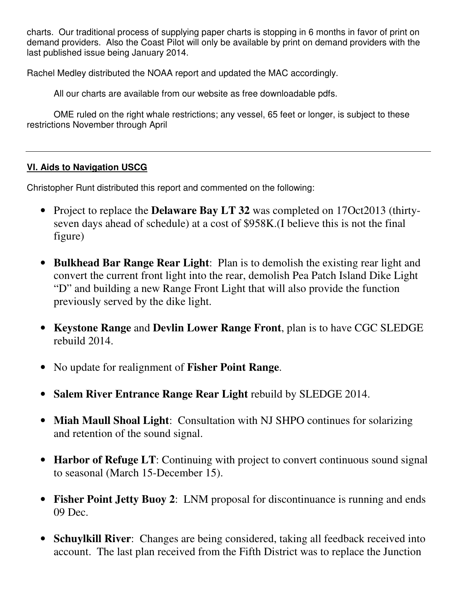charts. Our traditional process of supplying paper charts is stopping in 6 months in favor of print on demand providers. Also the Coast Pilot will only be available by print on demand providers with the last published issue being January 2014.

Rachel Medley distributed the NOAA report and updated the MAC accordingly.

All our charts are available from our website as free downloadable pdfs.

OME ruled on the right whale restrictions; any vessel, 65 feet or longer, is subject to these restrictions November through April

# **VI. Aids to Navigation USCG**

Christopher Runt distributed this report and commented on the following:

- Project to replace the **Delaware Bay LT 32** was completed on 17Oct2013 (thirtyseven days ahead of schedule) at a cost of \$958K.(I believe this is not the final figure)
- **Bulkhead Bar Range Rear Light**: Plan is to demolish the existing rear light and convert the current front light into the rear, demolish Pea Patch Island Dike Light "D" and building a new Range Front Light that will also provide the function previously served by the dike light.
- **Keystone Range** and **Devlin Lower Range Front**, plan is to have CGC SLEDGE rebuild 2014.
- No update for realignment of **Fisher Point Range**.
- **Salem River Entrance Range Rear Light** rebuild by SLEDGE 2014.
- **Miah Maull Shoal Light**: Consultation with NJ SHPO continues for solarizing and retention of the sound signal.
- **Harbor of Refuge LT**: Continuing with project to convert continuous sound signal to seasonal (March 15-December 15).
- **Fisher Point Jetty Buoy 2**: LNM proposal for discontinuance is running and ends 09 Dec.
- **Schuylkill River**: Changes are being considered, taking all feedback received into account. The last plan received from the Fifth District was to replace the Junction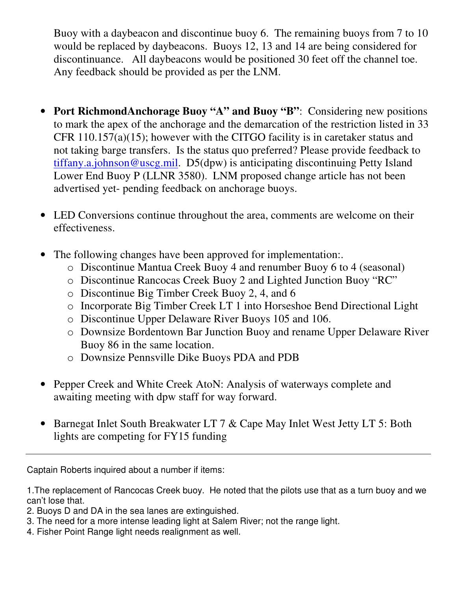Buoy with a daybeacon and discontinue buoy 6. The remaining buoys from 7 to 10 would be replaced by daybeacons. Buoys 12, 13 and 14 are being considered for discontinuance. All daybeacons would be positioned 30 feet off the channel toe. Any feedback should be provided as per the LNM.

- **Port RichmondAnchorage Buoy "A" and Buoy "B"**: Considering new positions to mark the apex of the anchorage and the demarcation of the restriction listed in 33 CFR 110.157(a)(15); however with the CITGO facility is in caretaker status and not taking barge transfers. Is the status quo preferred? Please provide feedback to tiffany.a.johnson@uscg.mil. D5(dpw) is anticipating discontinuing Petty Island Lower End Buoy P (LLNR 3580). LNM proposed change article has not been advertised yet- pending feedback on anchorage buoys.
- LED Conversions continue throughout the area, comments are welcome on their effectiveness.
- The following changes have been approved for implementation..
	- o Discontinue Mantua Creek Buoy 4 and renumber Buoy 6 to 4 (seasonal)
	- o Discontinue Rancocas Creek Buoy 2 and Lighted Junction Buoy "RC"
	- o Discontinue Big Timber Creek Buoy 2, 4, and 6
	- o Incorporate Big Timber Creek LT 1 into Horseshoe Bend Directional Light
	- o Discontinue Upper Delaware River Buoys 105 and 106.
	- o Downsize Bordentown Bar Junction Buoy and rename Upper Delaware River Buoy 86 in the same location.
	- o Downsize Pennsville Dike Buoys PDA and PDB
- Pepper Creek and White Creek AtoN: Analysis of waterways complete and awaiting meeting with dpw staff for way forward.
- Barnegat Inlet South Breakwater LT 7 & Cape May Inlet West Jetty LT 5: Both lights are competing for FY15 funding

Captain Roberts inquired about a number if items:

1.The replacement of Rancocas Creek buoy. He noted that the pilots use that as a turn buoy and we can't lose that.

- 2. Buoys D and DA in the sea lanes are extinguished.
- 3. The need for a more intense leading light at Salem River; not the range light.
- 4. Fisher Point Range light needs realignment as well.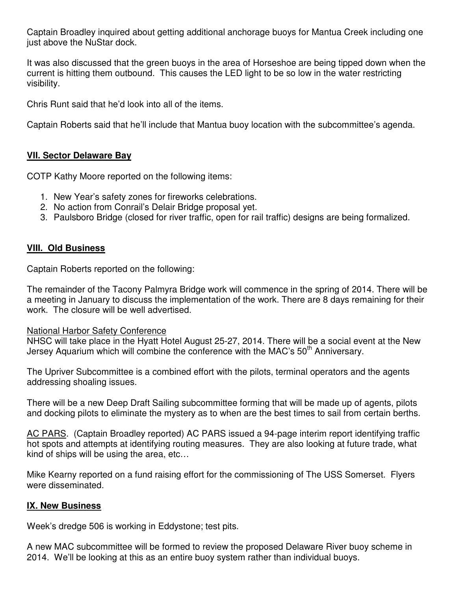Captain Broadley inquired about getting additional anchorage buoys for Mantua Creek including one just above the NuStar dock.

It was also discussed that the green buoys in the area of Horseshoe are being tipped down when the current is hitting them outbound. This causes the LED light to be so low in the water restricting visibility.

Chris Runt said that he'd look into all of the items.

Captain Roberts said that he'll include that Mantua buoy location with the subcommittee's agenda.

## **VII. Sector Delaware Bay**

COTP Kathy Moore reported on the following items:

- 1. New Year's safety zones for fireworks celebrations.
- 2. No action from Conrail's Delair Bridge proposal yet.
- 3. Paulsboro Bridge (closed for river traffic, open for rail traffic) designs are being formalized.

# **VIII. Old Business**

Captain Roberts reported on the following:

The remainder of the Tacony Palmyra Bridge work will commence in the spring of 2014. There will be a meeting in January to discuss the implementation of the work. There are 8 days remaining for their work. The closure will be well advertised.

### National Harbor Safety Conference

NHSC will take place in the Hyatt Hotel August 25-27, 2014. There will be a social event at the New Jersey Aquarium which will combine the conference with the MAC's  $50<sup>th</sup>$  Anniversary.

The Upriver Subcommittee is a combined effort with the pilots, terminal operators and the agents addressing shoaling issues.

There will be a new Deep Draft Sailing subcommittee forming that will be made up of agents, pilots and docking pilots to eliminate the mystery as to when are the best times to sail from certain berths.

AC PARS. (Captain Broadley reported) AC PARS issued a 94-page interim report identifying traffic hot spots and attempts at identifying routing measures. They are also looking at future trade, what kind of ships will be using the area, etc…

Mike Kearny reported on a fund raising effort for the commissioning of The USS Somerset. Flyers were disseminated.

### **IX. New Business**

Week's dredge 506 is working in Eddystone; test pits.

A new MAC subcommittee will be formed to review the proposed Delaware River buoy scheme in 2014. We'll be looking at this as an entire buoy system rather than individual buoys.